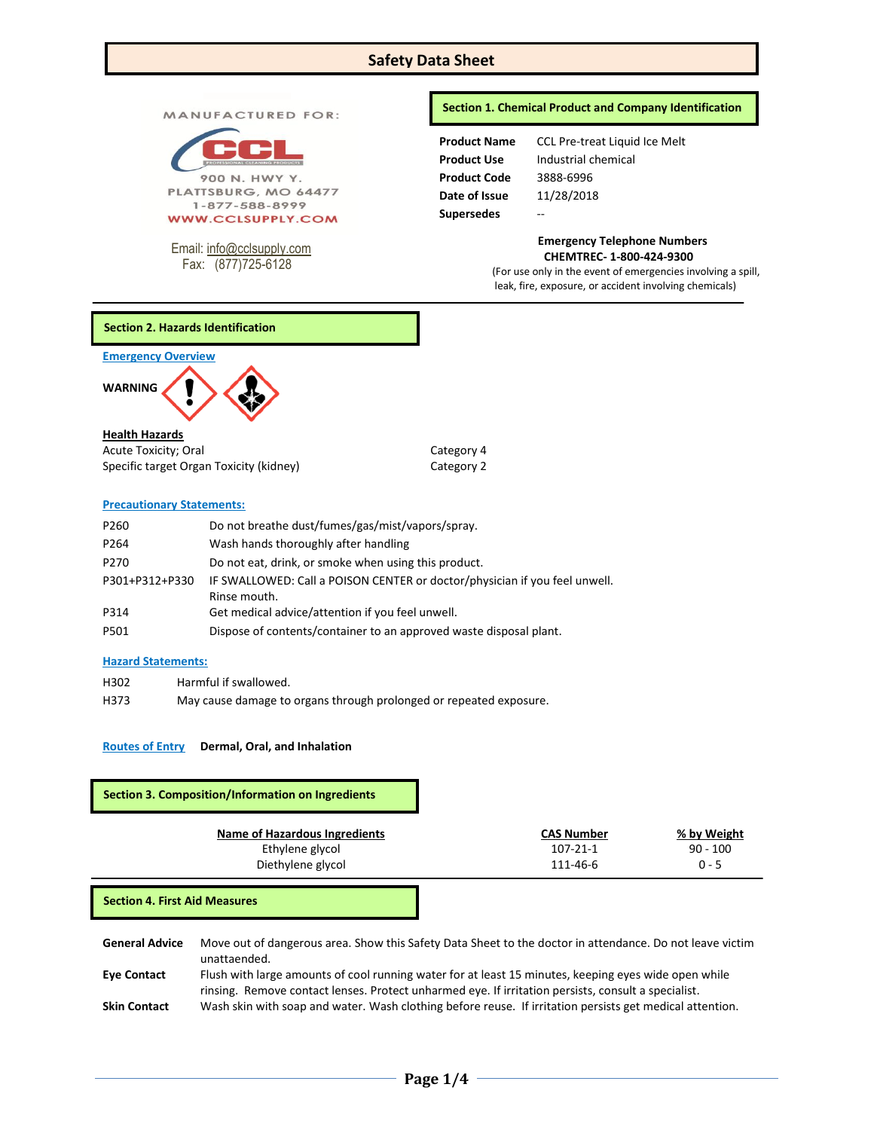# **Safety Data Sheet**

MANUFACTURED FOR:



PLATTSBURG, MO 64477 1-877-588-8999 **WWW.CCLSUPPLY.COM** 

Email: [info@cclsupply.com](mailto:info@cclsupply.com) Fax: (877)725-6128

## **Section 1. Chemical Product and Company Identification**

| <b>Product Name</b> | <b>CCL Pre-treat Liquid Ice Melt</b> |
|---------------------|--------------------------------------|
| <b>Product Use</b>  | Industrial chemical                  |
| <b>Product Code</b> | 3888-6996                            |
| Date of Issue       | 11/28/2018                           |
| <b>Supersedes</b>   |                                      |
|                     |                                      |

 **Emergency Telephone Numbers CHEMTREC- 1-800-424-9300**

(For use only in the event of emergencies involving a spill, leak, fire, exposure, or accident involving chemicals)

# **Section 2. Hazards Identification**

**Emergency Overview** 

 $\overline{a}$ 



## **Health Hazards**

Acute Toxicity; Oral Category 4 Specific target Organ Toxicity (kidney) Category 2

# **Precautionary Statements:**

| P <sub>260</sub> | Do not breathe dust/fumes/gas/mist/vapors/spray.                                           |
|------------------|--------------------------------------------------------------------------------------------|
| P264             | Wash hands thoroughly after handling                                                       |
| P <sub>270</sub> | Do not eat, drink, or smoke when using this product.                                       |
| P301+P312+P330   | IF SWALLOWED: Call a POISON CENTER or doctor/physician if you feel unwell.<br>Rinse mouth. |
| P314             | Get medical advice/attention if you feel unwell.                                           |
| P501             | Dispose of contents/container to an approved waste disposal plant.                         |

# **Hazard Statements:**

H302 Harmful if swallowed. H373 May cause damage to organs through prolonged or repeated exposure.

# **Routes of Entry Dermal, Oral, and Inhalation**

# **Section 3. Composition/Information on Ingredients**

| Name of Hazardous Ingredients | <b>CAS Number</b> | % by Weight |
|-------------------------------|-------------------|-------------|
| Ethylene glycol               | 107-21-1          | $90 - 100$  |
| Diethylene glycol             | 111-46-6          | $0 - 5$     |

**Section 4. First Aid Measures**

**General Advice** Move out of dangerous area. Show this Safety Data Sheet to the doctor in attendance. Do not leave victim unattaended. **Eye Contact** Flush with large amounts of cool running water for at least 15 minutes, keeping eyes wide open while rinsing. Remove contact lenses. Protect unharmed eye. If irritation persists, consult a specialist.

**Skin Contact** Wash skin with soap and water. Wash clothing before reuse. If irritation persists get medical attention.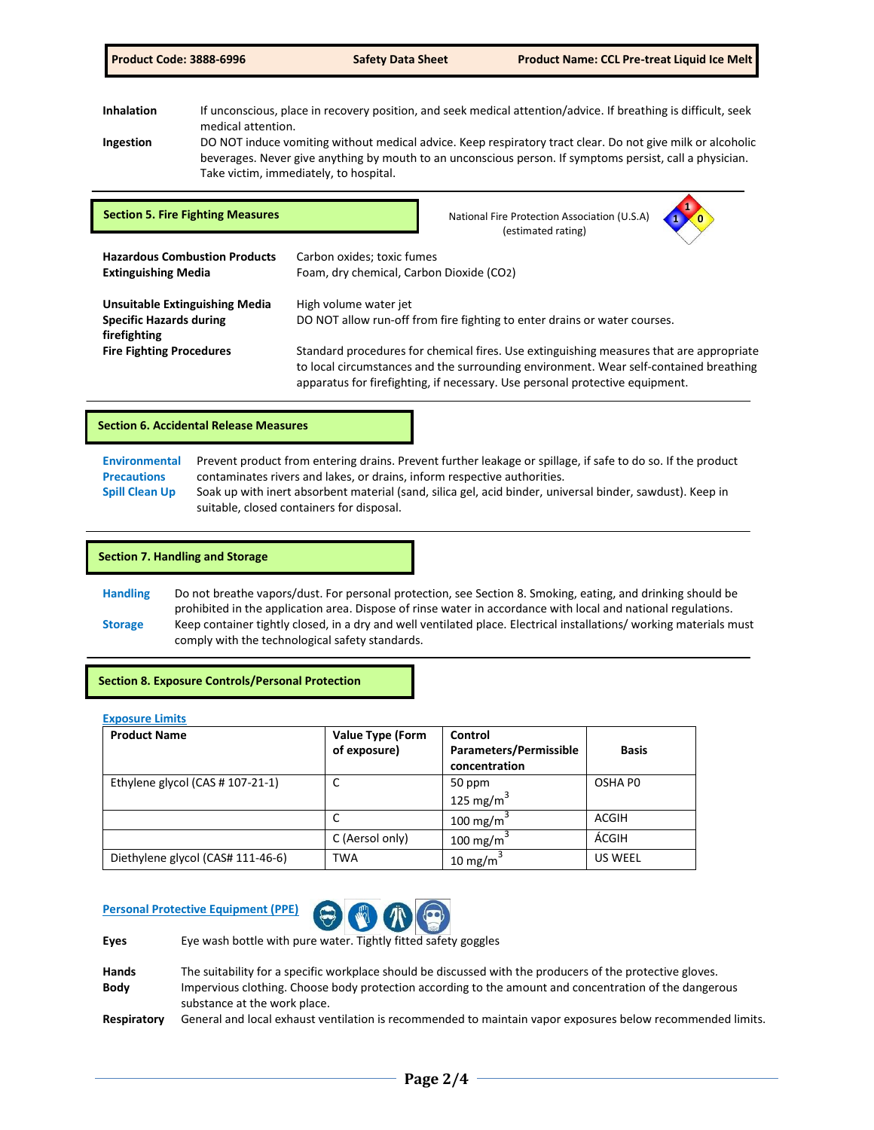Inhalation **If unconscious, place in recovery position**, and seek medical attention/advice. If breathing is difficult, seek medical attention.

**Ingestion** DO NOT induce vomiting without medical advice. Keep respiratory tract clear. Do not give milk or alcoholic beverages. Never give anything by mouth to an unconscious person. If symptoms persist, call a physician. Take victim, immediately, to hospital.

| <b>Section 5. Fire Fighting Measures</b>                                                | National Fire Protection Association (U.S.A)<br>(estimated rating)                                                                                                                                                                                               |
|-----------------------------------------------------------------------------------------|------------------------------------------------------------------------------------------------------------------------------------------------------------------------------------------------------------------------------------------------------------------|
| <b>Hazardous Combustion Products</b><br><b>Extinguishing Media</b>                      | Carbon oxides; toxic fumes<br>Foam, dry chemical, Carbon Dioxide (CO2)                                                                                                                                                                                           |
| <b>Unsuitable Extinguishing Media</b><br><b>Specific Hazards during</b><br>firefighting | High volume water jet<br>DO NOT allow run-off from fire fighting to enter drains or water courses.                                                                                                                                                               |
| <b>Fire Fighting Procedures</b>                                                         | Standard procedures for chemical fires. Use extinguishing measures that are appropriate<br>to local circumstances and the surrounding environment. Wear self-contained breathing<br>apparatus for firefighting, if necessary. Use personal protective equipment. |

## **Section 6. Accidental Release Measures**

| Environmental         | Prevent product from entering drains. Prevent further leakage or spillage, if safe to do so. If the product |
|-----------------------|-------------------------------------------------------------------------------------------------------------|
| <b>Precautions</b>    | contaminates rivers and lakes, or drains, inform respective authorities.                                    |
| <b>Spill Clean Up</b> | Soak up with inert absorbent material (sand, silica gel, acid binder, universal binder, sawdust). Keep in   |
|                       | suitable, closed containers for disposal.                                                                   |

### **Section 7. Handling and Storage**

**Handling** Do not breathe vapors/dust. For personal protection, see Section 8. Smoking, eating, and drinking should be prohibited in the application area. Dispose of rinse water in accordance with local and national regulations. **Storage** Keep container tightly closed, in a dry and well ventilated place. Electrical installations/ working materials must comply with the technological safety standards.

**Section 8. Exposure Controls/Personal Protection**

#### **Exposure Limits**

| <b>Product Name</b>               | <b>Value Type (Form</b> | Control                                 |                |
|-----------------------------------|-------------------------|-----------------------------------------|----------------|
|                                   | of exposure)            | Parameters/Permissible<br>concentration | <b>Basis</b>   |
| Ethylene glycol (CAS # 107-21-1)  | ◡                       | 50 ppm                                  | OSHA PO        |
|                                   |                         | 125 mg/m $3$                            |                |
|                                   | ◡                       | 100 mg/m <sup>3</sup>                   | ACGIH          |
|                                   | C (Aersol only)         | 100 mg/m $3$                            | ÁCGIH          |
| Diethylene glycol (CAS# 111-46-6) | <b>TWA</b>              | $10 \text{ mg/m}^3$                     | <b>US WEEL</b> |

# **Personal Protective Equipment (PPE)**



**Eyes** Eye wash bottle with pure water. Tightly fitted safety goggles

| <b>Hands</b> | The suitability for a specific workplace should be discussed with the producers of the protective gloves.              |
|--------------|------------------------------------------------------------------------------------------------------------------------|
| <b>Body</b>  | Impervious clothing. Choose body protection according to the amount and concentration of the dangerous                 |
|              | substance at the work place.                                                                                           |
| $B = 1.12$   | وزا امتعاص ومستحدث وبرواح والمستوم مستحدث والمتواطئ والمتحدث والمستحدث والمتحالة والقومين فستموا بمحار المواطن ومستحدث |

**Respiratory** General and local exhaust ventilation is recommended to maintain vapor exposures below recommended limits.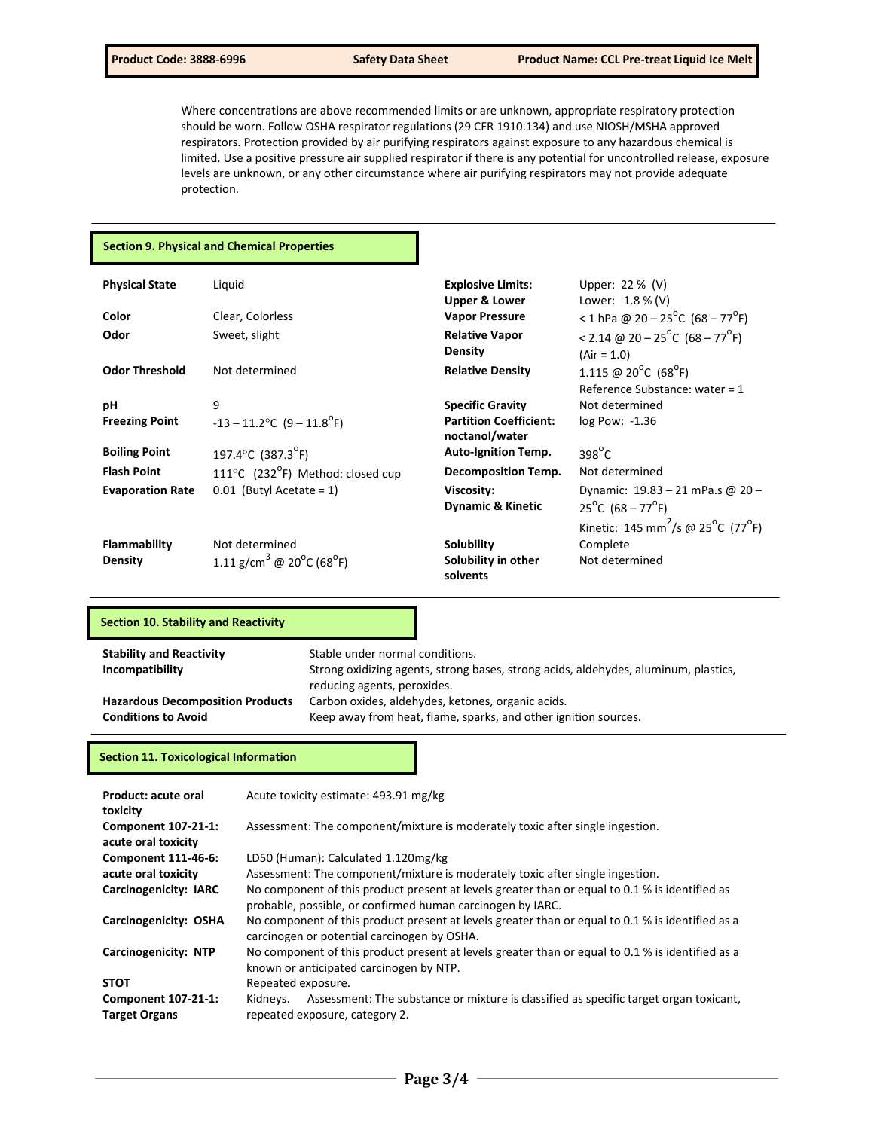Where concentrations are above recommended limits or are unknown, appropriate respiratory protection should be worn. Follow OSHA respirator regulations (29 CFR 1910.134) and use NIOSH/MSHA approved respirators. Protection provided by air purifying respirators against exposure to any hazardous chemical is limited. Use a positive pressure air supplied respirator if there is any potential for uncontrolled release, exposure levels are unknown, or any other circumstance where air purifying respirators may not provide adequate protection.

## **Section 9. Physical and Chemical Properties**

| <b>Physical State</b>   | Liquid                                                         | <b>Explosive Limits:</b>                        | Upper: 22 % (V)                                                         |
|-------------------------|----------------------------------------------------------------|-------------------------------------------------|-------------------------------------------------------------------------|
|                         |                                                                | <b>Upper &amp; Lower</b>                        | Lower: $1.8\%$ (V)                                                      |
| Color                   | Clear, Colorless                                               | <b>Vapor Pressure</b>                           | < 1 hPa @ 20 - 25 <sup>o</sup> C (68 - 77 <sup>o</sup> F)               |
| Odor                    | Sweet, slight                                                  | <b>Relative Vapor</b>                           | < 2.14 @ 20 - 25 <sup>o</sup> C (68 - 77 <sup>o</sup> F)                |
|                         |                                                                | <b>Density</b>                                  | $(Air = 1.0)$                                                           |
| <b>Odor Threshold</b>   | Not determined                                                 | <b>Relative Density</b>                         | 1.115 @ 20 <sup>°</sup> C (68 <sup>°</sup> F)                           |
|                         |                                                                |                                                 | Reference Substance: water = $1$                                        |
| рH                      | 9                                                              | <b>Specific Gravity</b>                         | Not determined                                                          |
| <b>Freezing Point</b>   | $-13 - 11.2$ °C (9 – 11.8 <sup>°</sup> F)                      | <b>Partition Coefficient:</b><br>noctanol/water | log Pow: -1.36                                                          |
| <b>Boiling Point</b>    | 197.4°C (387.3 <sup>°</sup> F)                                 | <b>Auto-Ignition Temp.</b>                      | $398^{\circ}$ C                                                         |
| <b>Flash Point</b>      | 111°C (232 <sup>°</sup> F) Method: closed cup                  | <b>Decomposition Temp.</b>                      | Not determined                                                          |
| <b>Evaporation Rate</b> | $0.01$ (Butyl Acetate = 1)                                     | Viscosity:                                      | Dynamic: 19.83 - 21 mPa.s @ 20 -                                        |
|                         |                                                                | <b>Dynamic &amp; Kinetic</b>                    | $25^{\circ}$ C (68 – 77 $^{\circ}$ F)                                   |
|                         |                                                                |                                                 | Kinetic: 145 mm <sup>2</sup> /s @ 25 <sup>o</sup> C (77 <sup>o</sup> F) |
| <b>Flammability</b>     | Not determined                                                 | Solubility                                      | Complete                                                                |
| <b>Density</b>          | 1.11 g/cm <sup>3</sup> @ 20 <sup>o</sup> C (68 <sup>o</sup> F) | Solubility in other<br>solvents                 | Not determined                                                          |

## **Section 10. Stability and Reactivity**

| Stable under normal conditions.                                                     |
|-------------------------------------------------------------------------------------|
| Strong oxidizing agents, strong bases, strong acids, aldehydes, aluminum, plastics, |
| reducing agents, peroxides.                                                         |
| Carbon oxides, aldehydes, ketones, organic acids.                                   |
| Keep away from heat, flame, sparks, and other ignition sources.                     |
|                                                                                     |

## **Section 11. Toxicological Information**

| Product: acute oral<br>toxicity                    | Acute toxicity estimate: 493.91 mg/kg                                                                                                                        |  |  |
|----------------------------------------------------|--------------------------------------------------------------------------------------------------------------------------------------------------------------|--|--|
| Component 107-21-1:<br>acute oral toxicity         | Assessment: The component/mixture is moderately toxic after single ingestion.                                                                                |  |  |
| Component 111-46-6:                                | LD50 (Human): Calculated 1.120mg/kg                                                                                                                          |  |  |
| acute oral toxicity                                | Assessment: The component/mixture is moderately toxic after single ingestion.                                                                                |  |  |
| Carcinogenicity: IARC                              | No component of this product present at levels greater than or equal to 0.1 % is identified as<br>probable, possible, or confirmed human carcinogen by IARC. |  |  |
| Carcinogenicity: OSHA                              | No component of this product present at levels greater than or equal to 0.1 % is identified as a<br>carcinogen or potential carcinogen by OSHA.              |  |  |
| <b>Carcinogenicity: NTP</b>                        | No component of this product present at levels greater than or equal to 0.1 % is identified as a<br>known or anticipated carcinogen by NTP.                  |  |  |
| <b>STOT</b>                                        | Repeated exposure.                                                                                                                                           |  |  |
| <b>Component 107-21-1:</b><br><b>Target Organs</b> | Assessment: The substance or mixture is classified as specific target organ toxicant,<br>Kidneys.<br>repeated exposure, category 2.                          |  |  |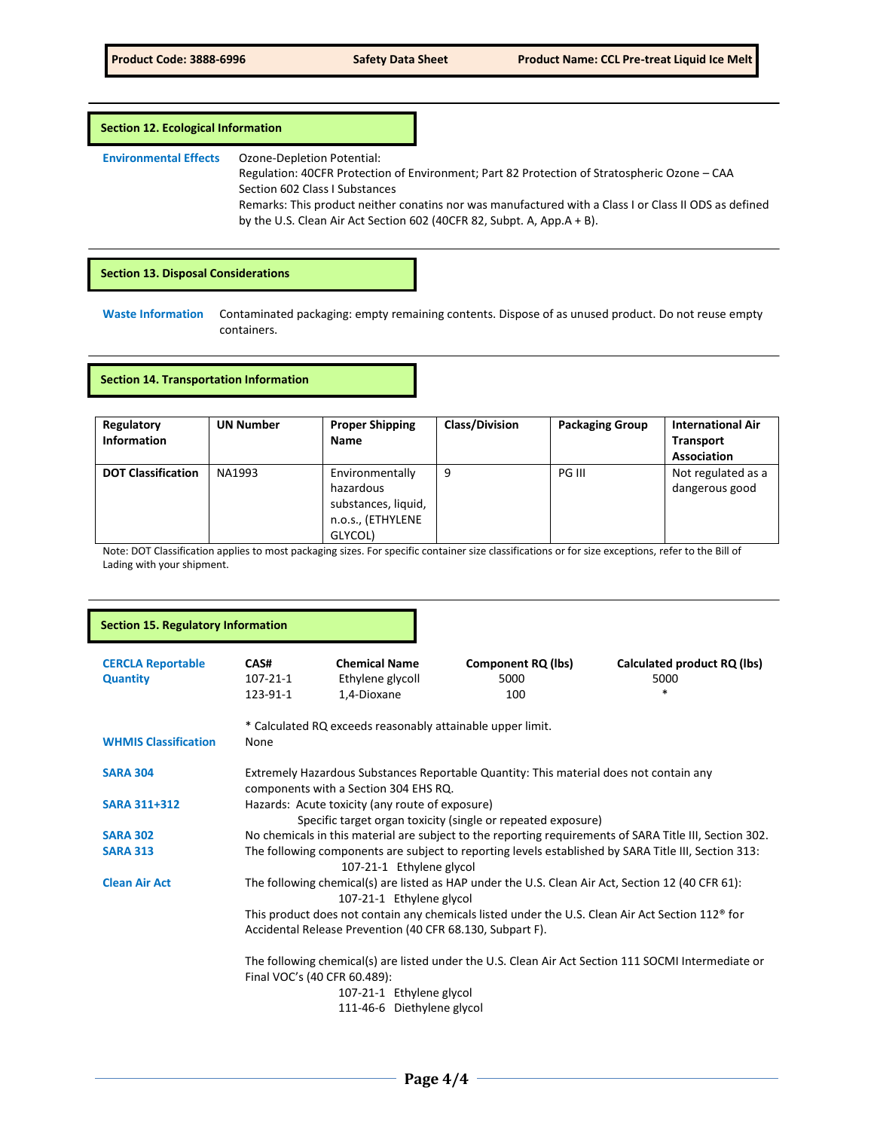## **Section 12. Ecological Information**

**Environmental Effects** Ozone-Depletion Potential:

Regulation: 40CFR Protection of Environment; Part 82 Protection of Stratospheric Ozone – CAA Section 602 Class I Substances Remarks: This product neither conatins nor was manufactured with a Class I or Class II ODS as defined by the U.S. Clean Air Act Section 602 (40CFR 82, Subpt. A, App.A + B).

## **Section 13. Disposal Considerations**

**Waste Information** Contaminated packaging: empty remaining contents. Dispose of as unused product. Do not reuse empty containers.

### **Section 14. Transportation Information**

| Regulatory<br><b>Information</b> | <b>UN Number</b> | <b>Proper Shipping</b><br>Name                                                      | <b>Class/Division</b> | <b>Packaging Group</b> | <b>International Air</b><br><b>Transport</b><br><b>Association</b> |
|----------------------------------|------------------|-------------------------------------------------------------------------------------|-----------------------|------------------------|--------------------------------------------------------------------|
| <b>DOT Classification</b>        | NA1993           | Environmentally<br>hazardous<br>substances, liquid,<br>n.o.s., (ETHYLENE<br>GLYCOL) | 9                     | PG III                 | Not regulated as a<br>dangerous good                               |

Note: DOT Classification applies to most packaging sizes. For specific container size classifications or for size exceptions, refer to the Bill of Lading with your shipment.

| <b>Section 15. Regulatory Information</b>   |                                                                                                                                                                         |                                                            |                                                                                                   |                                                                                                     |
|---------------------------------------------|-------------------------------------------------------------------------------------------------------------------------------------------------------------------------|------------------------------------------------------------|---------------------------------------------------------------------------------------------------|-----------------------------------------------------------------------------------------------------|
| <b>CERCLA Reportable</b><br><b>Quantity</b> | CAS#<br>$107 - 21 - 1$<br>123-91-1                                                                                                                                      | <b>Chemical Name</b><br>Ethylene glycoll<br>1,4-Dioxane    | <b>Component RQ (lbs)</b><br>5000<br>100                                                          | Calculated product RQ (lbs)<br>5000<br>$\ast$                                                       |
| <b>WHMIS Classification</b>                 | None                                                                                                                                                                    | * Calculated RQ exceeds reasonably attainable upper limit. |                                                                                                   |                                                                                                     |
| <b>SARA 304</b>                             |                                                                                                                                                                         |                                                            | Extremely Hazardous Substances Reportable Quantity: This material does not contain any            |                                                                                                     |
| <b>SARA 311+312</b>                         | components with a Section 304 EHS RQ.<br>Hazards: Acute toxicity (any route of exposure)                                                                                |                                                            |                                                                                                   |                                                                                                     |
| <b>SARA 302</b>                             | Specific target organ toxicity (single or repeated exposure)<br>No chemicals in this material are subject to the reporting requirements of SARA Title III, Section 302. |                                                            |                                                                                                   |                                                                                                     |
| <b>SARA 313</b>                             | The following components are subject to reporting levels established by SARA Title III, Section 313:<br>107-21-1 Ethylene glycol                                        |                                                            |                                                                                                   |                                                                                                     |
| <b>Clean Air Act</b>                        |                                                                                                                                                                         | 107-21-1 Ethylene glycol                                   | The following chemical(s) are listed as HAP under the U.S. Clean Air Act, Section 12 (40 CFR 61): |                                                                                                     |
|                                             | This product does not contain any chemicals listed under the U.S. Clean Air Act Section 112 <sup>®</sup> for                                                            |                                                            |                                                                                                   |                                                                                                     |
|                                             | Accidental Release Prevention (40 CFR 68.130, Subpart F).                                                                                                               |                                                            |                                                                                                   |                                                                                                     |
|                                             | Final VOC's (40 CFR 60.489):                                                                                                                                            | 107-21-1 Ethylene glycol<br>111-46-6 Diethylene glycol     |                                                                                                   | The following chemical(s) are listed under the U.S. Clean Air Act Section 111 SOCMI Intermediate or |